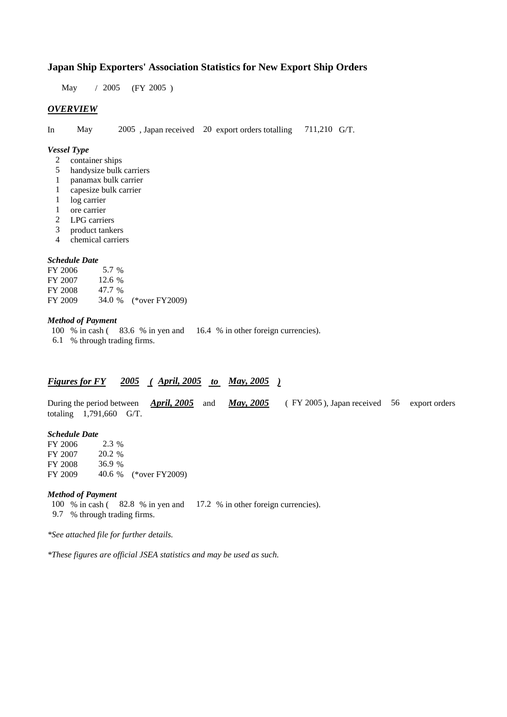# **Japan Ship Exporters' Association Statistics for New Export Ship Orders**

May / 2005 (FY 2005 )

### *OVERVIEW*

In May 2005 , Japan received 20 export orders totalling 711,210 G/T.

#### *Vessel Type*

- 2 container ships
- 5 handysize bulk carriers
- 1 panamax bulk carrier
- 1 capesize bulk carrier
- 1 log carrier
- 1 ore carrier
- 2 LPG carriers
- 3 product tankers
- 4 chemical carriers

#### *Schedule Date*

FY 2006 5.7 % FY 2007 12.6 % FY 2008 47.7 % FY 2009 34.0 % (\*over FY2009)

### *Method of Payment*

100 % in cash ( 83.6 % in yen and 16.4 % in other foreign currencies). 6.1 % through trading firms.

# *Figures for FY 2005 ( April, 2005 to May, 2005 )*

During the period between *April, 2005* and *May, 2005* (FY 2005), Japan received 56 export orders totaling 1,791,660 G/T.

#### *Schedule Date*

FY 2006 2.3 % FY 2007 20.2 % FY 2008 36.9 % FY 2009 40.6 % (\*over FY2009)

#### *Method of Payment*

100 % in cash ( 82.8 % in yen and 17.2 % in other foreign currencies).

9.7 % through trading firms.

*\*See attached file for further details.*

*\*These figures are official JSEA statistics and may be used as such.*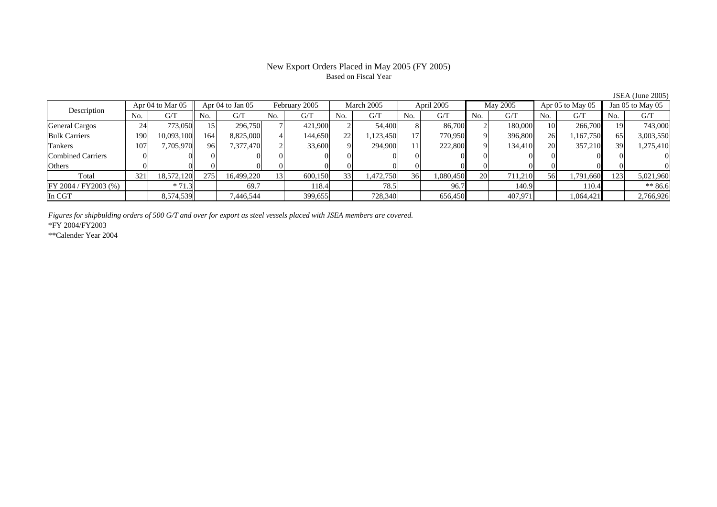## New Export Orders Placed in May 2005 (FY 2005) Based on Fiscal Year

Description Apr 04 to Mar 05 Apr 04 to Jan 05 February 2005 March 2005 April 2005 May 2005 Apr 05 to May 05 Jan 05 to May 05<br>No. 1 G/T No. 1 G/T No. 1 G/T No. 1 G/T No. 1 G/T No. 1 G/T No. 1 G/T No. 1 G/T No. 1 G/T No. 1 G  $No.$   $G/T$ T || No. | G/T || No. | G/T || No. | G/T || No. | G/T || G/T || No. | G/T || No. | G/T || No. | G/T General Cargos | 24 | 773,050|| 15| 296,750| 7| 421,900| 2| 54,400| 8| 86,700| 2| 180,000| 10| 266,700|| 19| 743,000 Bulk Carriers 1900| 10,093,100|| 164| 8,825,000| 4| 144,650| 22| 1,123,450| 17| 770,950| 9| 396,800| 26| 1,167,750|| 65| 3,003,550 Tankers 1077| 7,705,970|| 96| 7,377,470| 2| 33,600| 9| 294,900| 11| 222,800| 9| 134,410| 20| 357,210|| 39| 1,275,410 Combined Carriers 1 0 0 0 0 0 0 0 0 0 0 0 0 0 0 0 0 **Others** s and  $\vert 0$  0 0 0 0 0 0 0 0 0 0 0 0 0 0 0 Total 321 18,572,120 275 16,499,220 13 600,150 33 1,472,750 36 1,080,450 20 711,210 56 1,791,660 123 5,021,960 FY 2004 / FY 2003 (%) \* 71.3 69.7 118.4 78.5 96.7 140.9 110.4 \*\* 86.6 In CGT8,574,539 7,446,544 399,655 728,340 656,450 407,971 1,064,421 2,766,926

*Figures for shipbulding orders of 500 G/T and over for export as steel vessels placed with JSEA members are covered.*

\*FY 2004/FY2003

\*\*Calender Year 2004

JSEA (June 2005)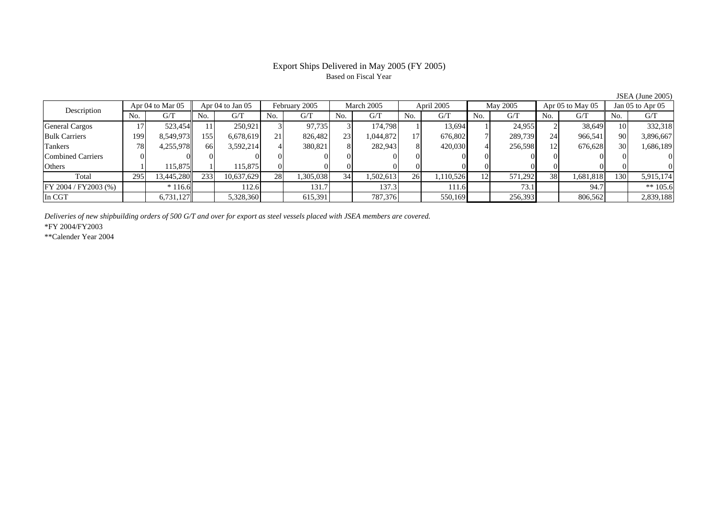# Based on Fiscal Year

Description Apr 04 to Mar 05 Apr 04 to Jan 05 February 2005 March 2005 April 2005 May 2005 Apr 05 to May 05 Jan 05 to Apr 05<br>No. 1 G/T No. 1 G/T No. 1 G/T No. 1 G/T No. 1 G/T No. 1 G/T No. 1 G/T No. 1 G/T No. 1 G/T No. 1 G No.  $G/T$ T || No. | G/T || No. | G/T || No. | G/T || No. | G/T || G/T || No. | G/T || No. | G/T || No. | G/T General Cargos († 17 523,454 11 250,921 3 97,735 3 174,798 1 13,694 1 24,955 2 38,649 10 332,318 Bulk Carriers 1999| 8,549,973|| 155| 6,678,619| 21| 826,482| 23| 1,044,872| 17| 676,802| 7| 289,739| 24| 966,541|| 90| 3,896,667 Tankers 788| 4,255,978|| 66| 3,592,214| 4| 380,821| 8| 282,943| 8| 420,030| 4| 256,598| 12| 676,628|| 30| 1,686,189 Combined Carriers 0 0 0 0 0 0 0 0 0 0 0 0 0 0 0 0 **Others** s and  $1$  115,875 1 115,875 0 0 0 0 0 0 0 0 0 0 0 0 Total 295 13,445,280 233 10,637,629 28 1,305,038 34 1,502,613 26 1,110,526 12 571,292 38 1,681,818 130 5,915,174 FY 2004 / FY2003 (%) \* 116.6 112.6 131.7 137.3 111.6 73.1 94.7 \*\* 105.6 In CGT6,731,127 5,328,360 615,391 787,376 550,169 256,393 806,562 2,839,188

*Deliveries of new shipbuilding orders of 500 G/T and over for export as steel vessels placed with JSEA members are covered.*

\*FY 2004/FY2003

\*\*Calender Year 2004

JSEA (June 2005)

# Export Ships Delivered in May 2005 (FY 2005)